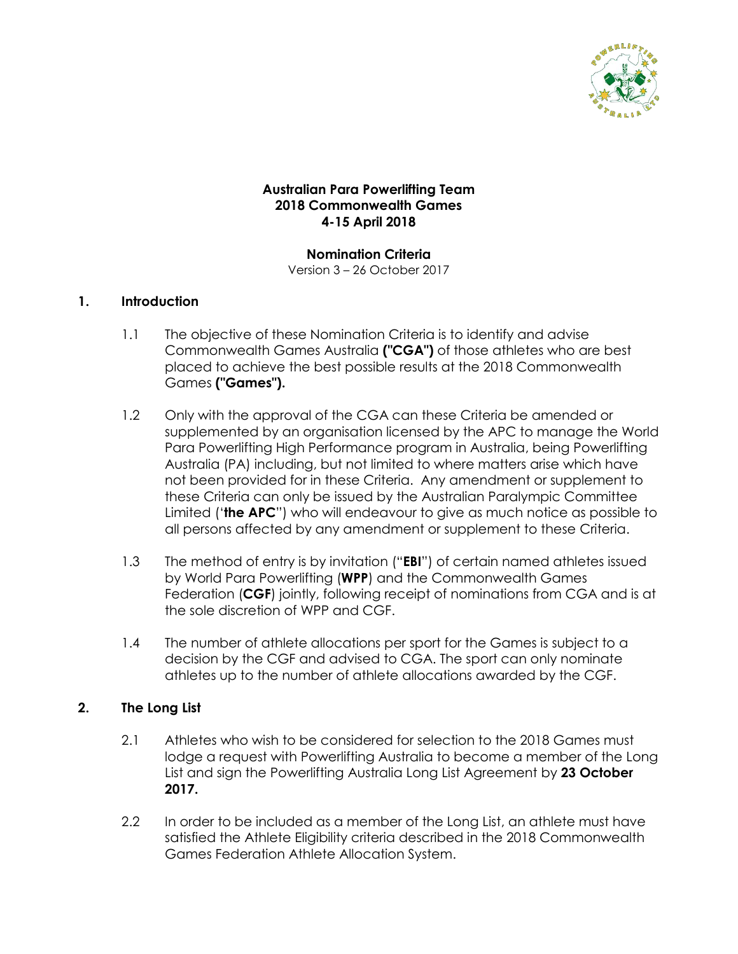

# **Australian Para Powerlifting Team 2018 Commonwealth Games 4-15 April 2018**

**Nomination Criteria** Version 3 – 26 October 2017

#### **1. Introduction**

- 1.1 The objective of these Nomination Criteria is to identify and advise Commonwealth Games Australia **("CGA")** of those athletes who are best placed to achieve the best possible results at the 2018 Commonwealth Games **("Games").**
- 1.2 Only with the approval of the CGA can these Criteria be amended or supplemented by an organisation licensed by the APC to manage the World Para Powerlifting High Performance program in Australia, being Powerlifting Australia (PA) including, but not limited to where matters arise which have not been provided for in these Criteria. Any amendment or supplement to these Criteria can only be issued by the Australian Paralympic Committee Limited ('**the APC**") who will endeavour to give as much notice as possible to all persons affected by any amendment or supplement to these Criteria.
- 1.3 The method of entry is by invitation ("**EBI**") of certain named athletes issued by World Para Powerlifting (**WPP**) and the Commonwealth Games Federation (**CGF**) jointly, following receipt of nominations from CGA and is at the sole discretion of WPP and CGF.
- 1.4 The number of athlete allocations per sport for the Games is subject to a decision by the CGF and advised to CGA. The sport can only nominate athletes up to the number of athlete allocations awarded by the CGF.

# **2. The Long List**

- 2.1 Athletes who wish to be considered for selection to the 2018 Games must lodge a request with Powerlifting Australia to become a member of the Long List and sign the Powerlifting Australia Long List Agreement by **23 October 2017.**
- 2.2 In order to be included as a member of the Long List, an athlete must have satisfied the Athlete Eligibility criteria described in the 2018 Commonwealth Games Federation Athlete Allocation System.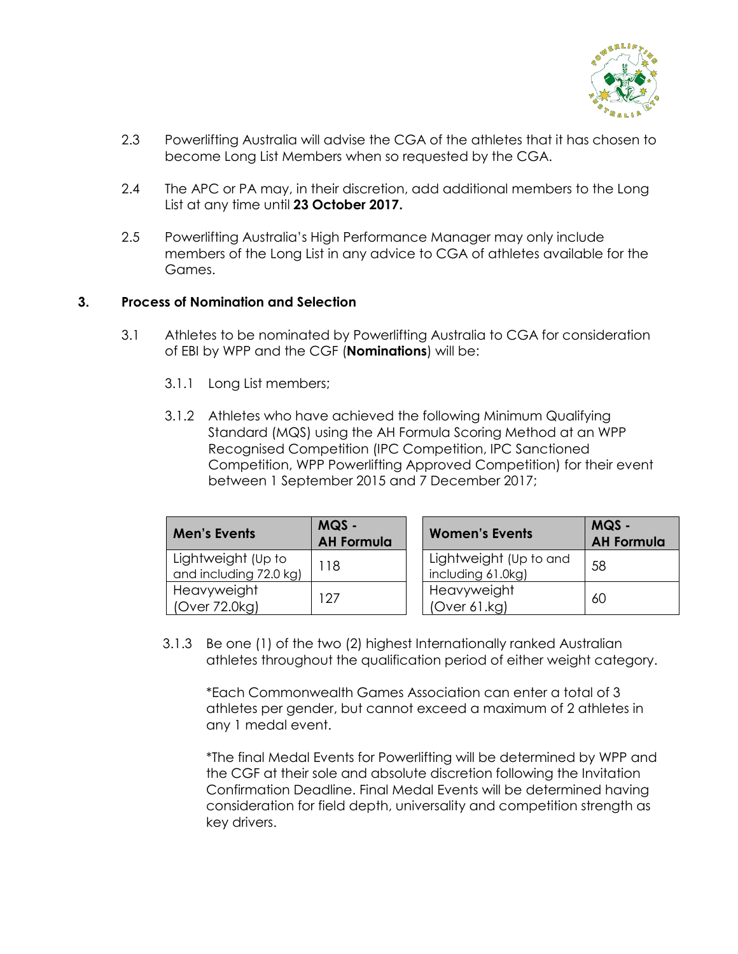

- 2.3 Powerlifting Australia will advise the CGA of the athletes that it has chosen to become Long List Members when so requested by the CGA.
- 2.4 The APC or PA may, in their discretion, add additional members to the Long List at any time until **23 October 2017.**
- 2.5 Powerlifting Australia's High Performance Manager may only include members of the Long List in any advice to CGA of athletes available for the Games.

#### **3. Process of Nomination and Selection**

- 3.1 Athletes to be nominated by Powerlifting Australia to CGA for consideration of EBI by WPP and the CGF (**Nominations**) will be:
	- 3.1.1 Long List members;
	- 3.1.2 Athletes who have achieved the following Minimum Qualifying Standard (MQS) using the AH Formula Scoring Method at an WPP Recognised Competition (IPC Competition, IPC Sanctioned Competition, WPP Powerlifting Approved Competition) for their event between 1 September 2015 and 7 December 2017;

| <b>Men's Events</b>                          | MQS -<br><b>AH Formula</b> | <b>Women's Events</b>                       | MQS -<br><b>AH Formula</b> |
|----------------------------------------------|----------------------------|---------------------------------------------|----------------------------|
| Lightweight (Up to<br>and including 72.0 kg) | 118                        | Lightweight (Up to and<br>including 61.0kg) | 58                         |
| Heavyweight<br>(Over 72.0kg)                 | 127                        | Heavyweight<br>(Over 61.kg)                 | 60                         |

3.1.3 Be one (1) of the two (2) highest Internationally ranked Australian athletes throughout the qualification period of either weight category.

\*Each Commonwealth Games Association can enter a total of 3 athletes per gender, but cannot exceed a maximum of 2 athletes in any 1 medal event.

\*The final Medal Events for Powerlifting will be determined by WPP and the CGF at their sole and absolute discretion following the Invitation Confirmation Deadline. Final Medal Events will be determined having consideration for field depth, universality and competition strength as key drivers.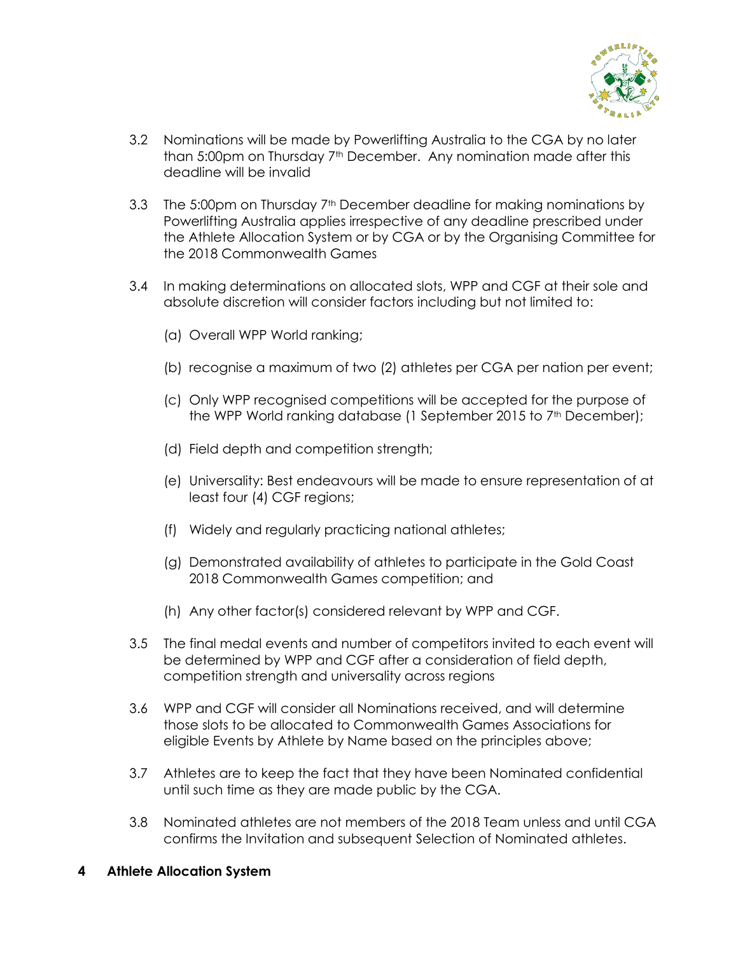

- 3.2 Nominations will be made by Powerlifting Australia to the CGA by no later than 5:00pm on Thursday 7th December. Any nomination made after this deadline will be invalid
- 3.3 The 5:00pm on Thursday 7<sup>th</sup> December deadline for making nominations by Powerlifting Australia applies irrespective of any deadline prescribed under the Athlete Allocation System or by CGA or by the Organising Committee for the 2018 Commonwealth Games
- 3.4 In making determinations on allocated slots, WPP and CGF at their sole and absolute discretion will consider factors including but not limited to:
	- (a) Overall WPP World ranking;
	- (b) recognise a maximum of two (2) athletes per CGA per nation per event;
	- (c) Only WPP recognised competitions will be accepted for the purpose of the WPP World ranking database (1 September 2015 to 7<sup>th</sup> December);
	- (d) Field depth and competition strength;
	- (e) Universality: Best endeavours will be made to ensure representation of at least four (4) CGF regions;
	- (f) Widely and regularly practicing national athletes;
	- (g) Demonstrated availability of athletes to participate in the Gold Coast 2018 Commonwealth Games competition; and
	- (h) Any other factor(s) considered relevant by WPP and CGF.
- 3.5 The final medal events and number of competitors invited to each event will be determined by WPP and CGF after a consideration of field depth, competition strength and universality across regions
- 3.6 WPP and CGF will consider all Nominations received, and will determine those slots to be allocated to Commonwealth Games Associations for eligible Events by Athlete by Name based on the principles above;
- 3.7 Athletes are to keep the fact that they have been Nominated confidential until such time as they are made public by the CGA.
- 3.8 Nominated athletes are not members of the 2018 Team unless and until CGA confirms the Invitation and subsequent Selection of Nominated athletes.
- **4 Athlete Allocation System**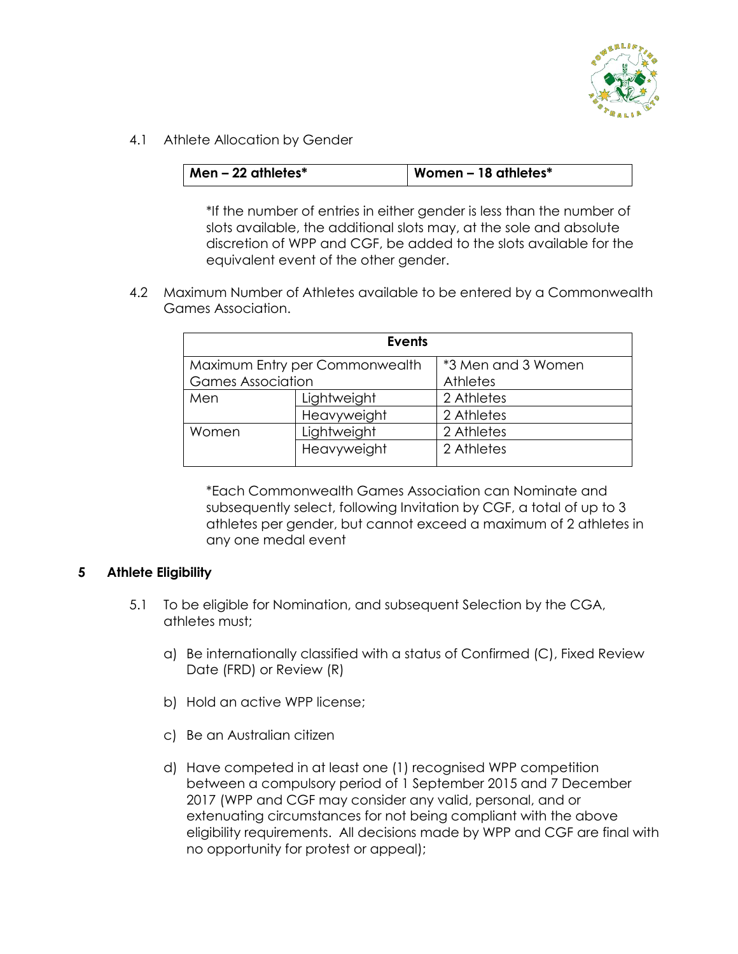

4.1 Athlete Allocation by Gender

| $\vert$ Men – 22 athletes $^*$ | Women $-18$ athletes $*$ |
|--------------------------------|--------------------------|
|                                |                          |

\*If the number of entries in either gender is less than the number of slots available, the additional slots may, at the sole and absolute discretion of WPP and CGF, be added to the slots available for the equivalent event of the other gender.

4.2 Maximum Number of Athletes available to be entered by a Commonwealth Games Association.

| <b>Events</b>                  |             |                    |  |  |
|--------------------------------|-------------|--------------------|--|--|
| Maximum Entry per Commonwealth |             | *3 Men and 3 Women |  |  |
| <b>Games Association</b>       |             | Athletes           |  |  |
| Men                            | Lightweight | 2 Athletes         |  |  |
|                                | Heavyweight | 2 Athletes         |  |  |
| Women                          | Lightweight | 2 Athletes         |  |  |
|                                | Heavyweight | 2 Athletes         |  |  |

\*Each Commonwealth Games Association can Nominate and subsequently select, following Invitation by CGF, a total of up to 3 athletes per gender, but cannot exceed a maximum of 2 athletes in any one medal event

# **5 Athlete Eligibility**

- 5.1 To be eligible for Nomination, and subsequent Selection by the CGA, athletes must;
	- a) Be internationally classified with a status of Confirmed (C), Fixed Review Date (FRD) or Review (R)
	- b) Hold an active WPP license;
	- c) Be an Australian citizen
	- d) Have competed in at least one (1) recognised WPP competition between a compulsory period of 1 September 2015 and 7 December 2017 (WPP and CGF may consider any valid, personal, and or extenuating circumstances for not being compliant with the above eligibility requirements. All decisions made by WPP and CGF are final with no opportunity for protest or appeal);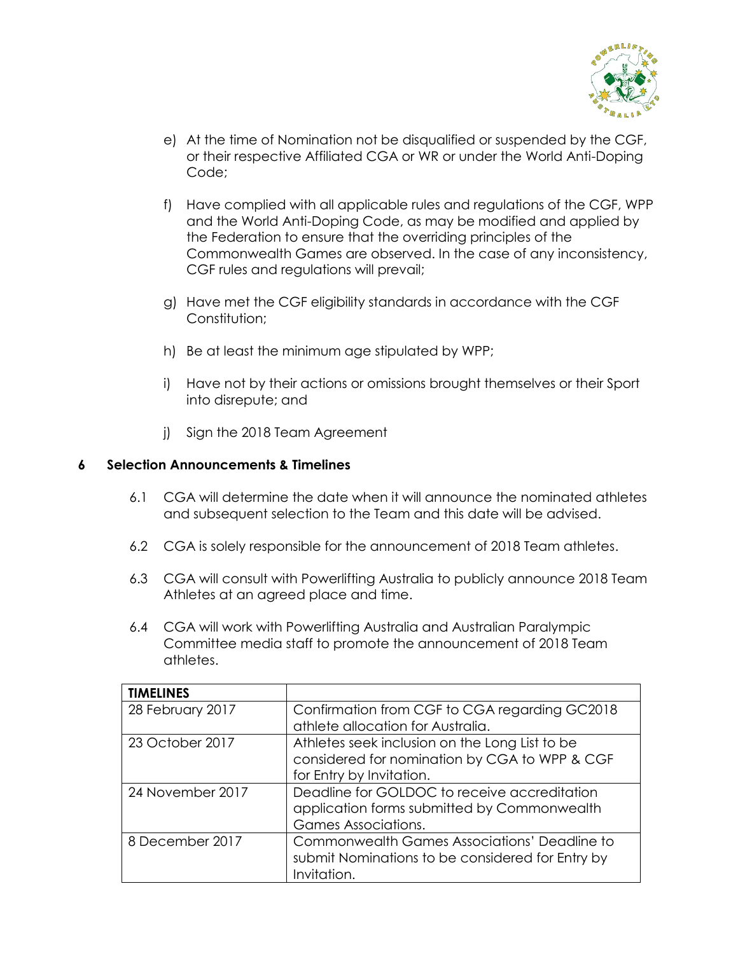

- e) At the time of Nomination not be disqualified or suspended by the CGF, or their respective Affiliated CGA or WR or under the World Anti-Doping Code;
- f) Have complied with all applicable rules and regulations of the CGF, WPP and the World Anti-Doping Code, as may be modified and applied by the Federation to ensure that the overriding principles of the Commonwealth Games are observed. In the case of any inconsistency, CGF rules and regulations will prevail;
- g) Have met the CGF eligibility standards in accordance with the CGF Constitution;
- h) Be at least the minimum age stipulated by WPP;
- i) Have not by their actions or omissions brought themselves or their Sport into disrepute; and
- j) Sign the 2018 Team Agreement

#### **6 Selection Announcements & Timelines**

- 6.1 CGA will determine the date when it will announce the nominated athletes and subsequent selection to the Team and this date will be advised.
- 6.2 CGA is solely responsible for the announcement of 2018 Team athletes.
- 6.3 CGA will consult with Powerlifting Australia to publicly announce 2018 Team Athletes at an agreed place and time.
- 6.4 CGA will work with Powerlifting Australia and Australian Paralympic Committee media staff to promote the announcement of 2018 Team athletes.

| <b>TIMELINES</b> |                                                     |  |
|------------------|-----------------------------------------------------|--|
| 28 February 2017 | Confirmation from CGF to CGA regarding GC2018       |  |
|                  | athlete allocation for Australia.                   |  |
| 23 October 2017  | Athletes seek inclusion on the Long List to be      |  |
|                  | considered for nomination by CGA to WPP & CGF       |  |
|                  | for Entry by Invitation.                            |  |
| 24 November 2017 | Deadline for GOLDOC to receive accreditation        |  |
|                  | application forms submitted by Commonwealth         |  |
|                  | Games Associations.                                 |  |
| 8 December 2017  | <b>Commonwealth Games Associations' Deadline to</b> |  |
|                  | submit Nominations to be considered for Entry by    |  |
|                  | Invitation.                                         |  |